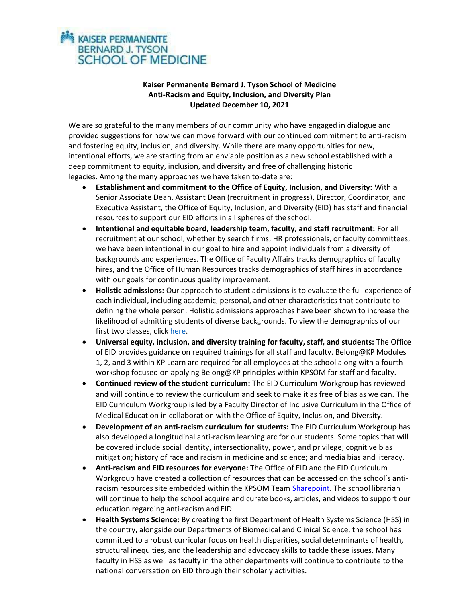## **KAISER PERMANENTE BERNARD J. TYSON SCHOOL OF MEDICINE**

## Kaiser Permanente Bernard J. Tyson School of Medicine Anti-Racism and Equity, Inclusion, and Diversity Plan Updated December 10, 2021

We are so grateful to the many members of our community who have engaged in dialogue and provided suggestions for how we can move forward with our continued commitment to anti-racism and fostering equity, inclusion, and diversity. While there are many opportunities for new, intentional efforts, we are starting from an enviable position as a new school established with a deep commitment to equity, inclusion, and diversity and free of challenging historic legacies. Among the many approaches we have taken to-date are:

- Establishment and commitment to the Office of Equity, Inclusion, and Diversity: With a Senior Associate Dean, Assistant Dean (recruitment in progress), Director, Coordinator, and Executive Assistant, the Office of Equity, Inclusion, and Diversity (EID) has staff and financial resources to support our EID efforts in all spheres of the school.
- Intentional and equitable board, leadership team, faculty, and staff recruitment: For all recruitment at our school, whether by search firms, HR professionals, or faculty committees, we have been intentional in our goal to hire and appoint individuals from a diversity of backgrounds and experiences. The Office of Faculty Affairs tracks demographics of faculty hires, and the Office of Human Resources tracks demographics of staff hires in accordance with our goals for continuous quality improvement.
- Holistic admissions: Our approach to student admissions is to evaluate the full experience of each individual, including academic, personal, and other characteristics that contribute to defining the whole person. Holistic admissions approaches have been shown to increase the likelihood of admitting students of diverse backgrounds. To view the demographics of our first two classes, click here.
- Universal equity, inclusion, and diversity training for faculty, staff, and students: The Office of EID provides guidance on required trainings for all staff and faculty. Belong@KP Modules 1, 2, and 3 within KP Learn are required for all employees at the school along with a fourth workshop focused on applying Belong@KP principles within KPSOM for staff and faculty.
- Continued review of the student curriculum: The EID Curriculum Workgroup has reviewed and will continue to review the curriculum and seek to make it as free of bias as we can. The EID Curriculum Workgroup is led by a Faculty Director of Inclusive Curriculum in the Office of Medical Education in collaboration with the Office of Equity, Inclusion, and Diversity.
- Development of an anti-racism curriculum for students: The EID Curriculum Workgroup has also developed a longitudinal anti-racism learning arc for our students. Some topics that will be covered include social identity, intersectionality, power, and privilege; cognitive bias mitigation; history of race and racism in medicine and science; and media bias and literacy.
- Anti-racism and EID resources for everyone: The Office of EID and the EID Curriculum Workgroup have created a collection of resources that can be accessed on the school's antiracism resources site embedded within the KPSOM Team Sharepoint. The school librarian will continue to help the school acquire and curate books, articles, and videos to support our education regarding anti-racism and EID.
- Health Systems Science: By creating the first Department of Health Systems Science (HSS) in the country, alongside our Departments of Biomedical and Clinical Science, the school has committed to a robust curricular focus on health disparities, social determinants of health, structural inequities, and the leadership and advocacy skills to tackle these issues. Many faculty in HSS as well as faculty in the other departments will continue to contribute to the national conversation on EID through their scholarly activities.